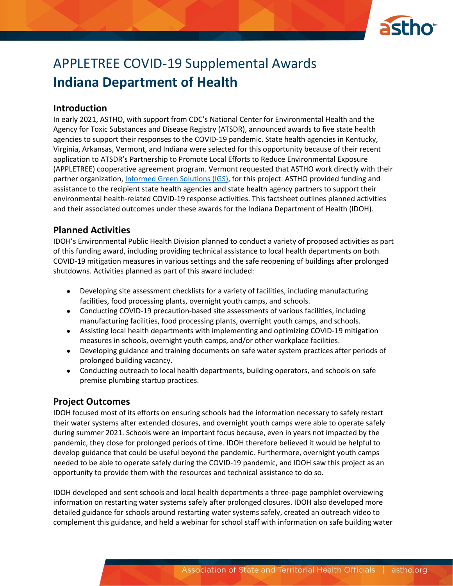

# APPLETREE COVID-19 Supplemental Awards **Indiana Department of Health**

#### **Introduction**

In early 2021, ASTHO, with support from CDC's National Center for Environmental Health and the Agency for Toxic Substances and Disease Registry (ATSDR), announced awards to five state health agencies to support their responses to the COVID-19 pandemic. State health agencies in Kentucky, Virginia, Arkansas, Vermont, and Indiana were selected for this opportunity because of their recent application to ATSDR's Partnership to Promote Local Efforts to Reduce Environmental Exposure (APPLETREE) cooperative agreement program. Vermont requested that ASTHO work directly with their partner organization, [Informed Green Solutions \(IGS\),](https://www.informedgreensolutions.org/) for this project. ASTHO provided funding and assistance to the recipient state health agencies and state health agency partners to support their environmental health-related COVID-19 response activities. This factsheet outlines planned activities and their associated outcomes under these awards for the Indiana Department of Health (IDOH).

#### **Planned Activities**

IDOH's Environmental Public Health Division planned to conduct a variety of proposed activities as part of this funding award, including providing technical assistance to local health departments on both COVID-19 mitigation measures in various settings and the safe reopening of buildings after prolonged shutdowns. Activities planned as part of this award included:

- Developing site assessment checklists for a variety of facilities, including manufacturing facilities, food processing plants, overnight youth camps, and schools.
- Conducting COVID-19 precaution-based site assessments of various facilities, including manufacturing facilities, food processing plants, overnight youth camps, and schools.
- Assisting local health departments with implementing and optimizing COVID-19 mitigation measures in schools, overnight youth camps, and/or other workplace facilities.
- Developing guidance and training documents on safe water system practices after periods of prolonged building vacancy.
- Conducting outreach to local health departments, building operators, and schools on safe premise plumbing startup practices.

## **Project Outcomes**

IDOH focused most of its efforts on ensuring schools had the information necessary to safely restart their water systems after extended closures, and overnight youth camps were able to operate safely during summer 2021. Schools were an important focus because, even in years not impacted by the pandemic, they close for prolonged periods of time. IDOH therefore believed it would be helpful to develop guidance that could be useful beyond the pandemic. Furthermore, overnight youth camps needed to be able to operate safely during the COVID-19 pandemic, and IDOH saw this project as an opportunity to provide them with the resources and technical assistance to do so.

IDOH developed and sent schools and local health departments a three-page pamphlet overviewing information on restarting water systems safely after prolonged closures. IDOH also developed more detailed guidance for schools around restarting water systems safely, created an outreach video to complement this guidance, and held a webinar for school staff with information on safe building water